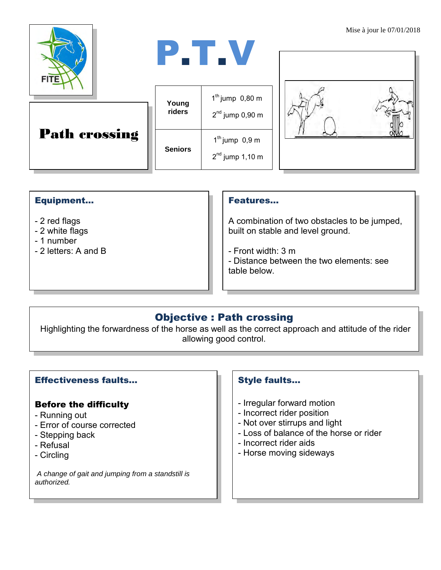



|  | <b>Path crossing</b> |
|--|----------------------|
|--|----------------------|

| Young          | $1th$ jump 0,80 m                     |
|----------------|---------------------------------------|
| riders         | $2nd$ jump 0,90 m                     |
| <b>Seniors</b> | $1th$ jump 0,9 m<br>$2nd$ jump 1,10 m |



#### Equipment...

- 2 red flags
- 2 white flags
- 1 number
- 2 letters: A and B

#### Features…

A combination of two obstacles to be jumped, built on stable and level ground.

- Front width: 3 m
- Distance between the two elements: see table below.

## Objective : Path crossing

Highlighting the forwardness of the horse as well as the correct approach and attitude of the rider allowing good control.

#### Effectiveness faults…

### Before the difficulty

- Running out
- Error of course corrected
- Stepping back
- Refusal
- Circling

*A change of gait and jumping from a standstill is authorized.*

#### Style faults…

- Irregular forward motion
- Incorrect rider position
- Not over stirrups and light
- Loss of balance of the horse or rider
- Incorrect rider aids
- Horse moving sideways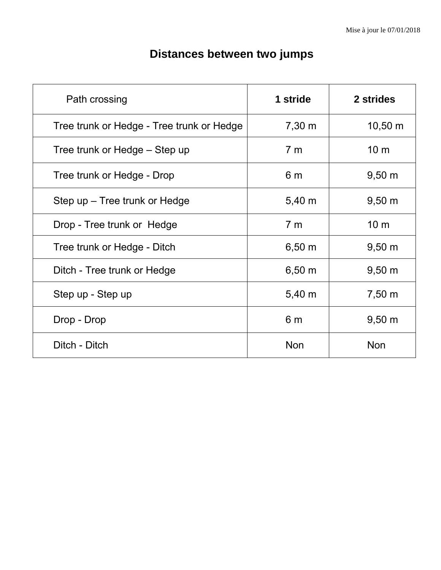| Path crossing                             | 1 stride           | 2 strides       |
|-------------------------------------------|--------------------|-----------------|
| Tree trunk or Hedge - Tree trunk or Hedge | $7,30 \; \text{m}$ | 10,50 m         |
| Tree trunk or Hedge – Step up             | 7 <sub>m</sub>     | 10 <sub>m</sub> |
| Tree trunk or Hedge - Drop                | 6 <sub>m</sub>     | $9,50 \; m$     |
| Step up – Tree trunk or Hedge             | $5,40 \; m$        | $9,50 \; m$     |
| Drop - Tree trunk or Hedge                | 7 <sub>m</sub>     | 10 <sub>m</sub> |
| Tree trunk or Hedge - Ditch               | $6,50 \; m$        | $9,50 \; m$     |
| Ditch - Tree trunk or Hedge               | $6,50 \; m$        | $9,50 \; m$     |
| Step up - Step up                         | $5,40 \; m$        | 7,50 m          |
| Drop - Drop                               | 6 <sub>m</sub>     | $9,50 \; m$     |
| Ditch - Ditch                             | <b>Non</b>         | <b>Non</b>      |

# **Distances between two jumps**